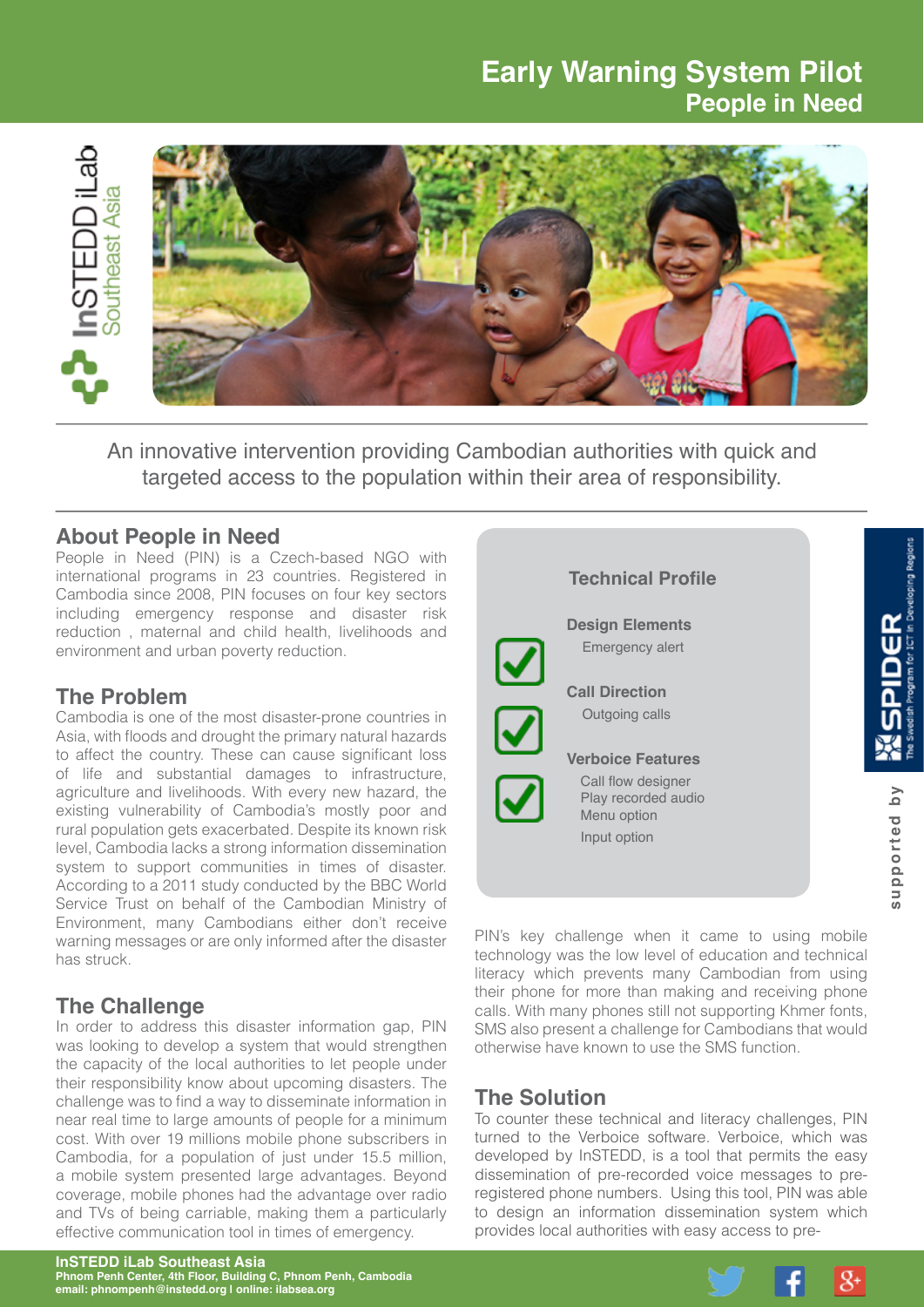# **Early Warning System Pilot People in Need**



An innovative intervention providing Cambodian authorities with quick and targeted access to the population within their area of responsibility.

#### **About People in Need**

People in Need (PIN) is a Czech-based NGO with international programs in 23 countries. Registered in Cambodia since 2008, PIN focuses on four key sectors including emergency response and disaster risk reduction , maternal and child health, livelihoods and environment and urban poverty reduction.

### **The Problem**

Cambodia is one of the most disaster-prone countries in Asia, with floods and drought the primary natural hazards to affect the country. These can cause significant loss of life and substantial damages to infrastructure, agriculture and livelihoods. With every new hazard, the existing vulnerability of Cambodia's mostly poor and rural population gets exacerbated. Despite its known risk level, Cambodia lacks a strong information dissemination system to support communities in times of disaster. According to a 2011 study conducted by the BBC World Service Trust on behalf of the Cambodian Ministry of Environment, many Cambodians either don't receive warning messages or are only informed after the disaster has struck.

### **The Challenge**

In order to address this disaster information gap, PIN was looking to develop a system that would strengthen the capacity of the local authorities to let people under their responsibility know about upcoming disasters. The challenge was to find a way to disseminate information in near real time to large amounts of people for a minimum cost. With over 19 millions mobile phone subscribers in Cambodia, for a population of just under 15.5 million, a mobile system presented large advantages. Beyond coverage, mobile phones had the advantage over radio and TVs of being carriable, making them a particularly effective communication tool in times of emergency.

## **Technical Profile**  $\frac{\alpha}{\epsilon}$  **Design Elements** Emergency alert  **Call Direction** Outgoing calls  $\bm \varpi$  **Verboice Features**  $\overline{\bm{\mathsf{v}}}$  Call flow designer supported by **supported by** Play recorded audio Menu option Input option

PIN's key challenge when it came to using mobile technology was the low level of education and technical literacy which prevents many Cambodian from using their phone for more than making and receiving phone calls. With many phones still not supporting Khmer fonts, SMS also present a challenge for Cambodians that would otherwise have known to use the SMS function.

### **The Solution**

To counter these technical and literacy challenges, PIN turned to the Verboice software. Verboice, which was developed by InSTEDD, is a tool that permits the easy dissemination of pre-recorded voice messages to preregistered phone numbers. Using this tool, PIN was able to design an information dissemination system which provides local authorities with easy access to pre-